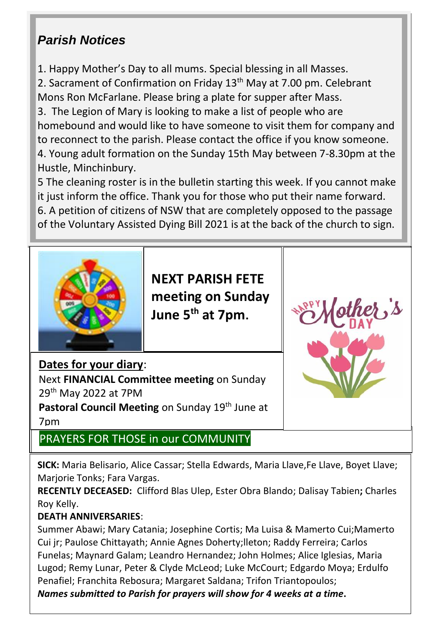# *Parish Notices*

1. Happy Mother's Day to all mums. Special blessing in all Masses.

2. Sacrament of Confirmation on Friday 13<sup>th</sup> May at 7.00 pm. Celebrant Mons Ron McFarlane. Please bring a plate for supper after Mass.

3. The Legion of Mary is looking to make a list of people who are homebound and would like to have someone to visit them for company and to reconnect to the parish. Please contact the office if you know someone. 4. Young adult formation on the Sunday 15th May between 7-8.30pm at the Hustle, Minchinbury.

5 The cleaning roster is in the bulletin starting this week. If you cannot make it just inform the office. Thank you for those who put their name forward. 6. A petition of citizens of NSW that are completely opposed to the passage of the Voluntary Assisted Dying Bill 2021 is at the back of the church to sign.



**NEXT PARISH FETE meeting on Sunday June 5th at 7pm.** 



### **Dates for your diary**:

Next **FINANCIAL Committee meeting** on Sunday 29th May 2022 at 7PM

Pastoral Council Meeting on Sunday 19th June at 7pm

## PRAYERS FOR THOSE in our COMMUNITY

**SICK:** Maria Belisario, Alice Cassar; Stella Edwards, Maria Llave,Fe Llave, Boyet Llave; Marjorie Tonks; Fara Vargas.

**RECENTLY DECEASED:** Clifford Blas Ulep, Ester Obra Blando; Dalisay Tabien**;** Charles Roy Kelly.

### **DEATH ANNIVERSARIES**:

Summer Abawi; Mary Catania; Josephine Cortis; Ma Luisa & Mamerto Cui;Mamerto Cui jr; Paulose Chittayath; Annie Agnes Doherty;lleton; Raddy Ferreira; Carlos Funelas; Maynard Galam; Leandro Hernandez; John Holmes; Alice Iglesias, Maria Lugod; Remy Lunar, Peter & Clyde McLeod; Luke McCourt; Edgardo Moya; Erdulfo Penafiel; Franchita Rebosura; Margaret Saldana; Trifon Triantopoulos;

*Names submitted to Parish for prayers will show for 4 weeks at a time***.**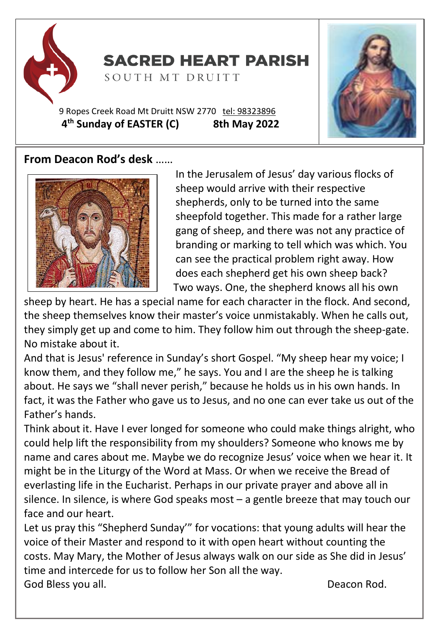

# **SACRED HEART PARISH**

SOUTH MT DRUITT

9 Ropes Creek Road Mt Druitt NSW 2770 tel: [98323896](tel:98323896) **4 th Sunday of EASTER (C) 8th May 2022**





In the Jerusalem of Jesus' day various flocks of sheep would arrive with their respective shepherds, only to be turned into the same sheepfold together. This made for a rather large gang of sheep, and there was not any practice of branding or marking to tell which was which. You can see the practical problem right away. How does each shepherd get his own sheep back? Two ways. One, the shepherd knows all his own

sheep by heart. He has a special name for each character in the flock. And second, the sheep themselves know their master's voice unmistakably. When he calls out, they simply get up and come to him. They follow him out through the sheep-gate. No mistake about it.

And that is Jesus' reference in Sunday's short Gospel. "My sheep hear my voice; I know them, and they follow me," he says. You and I are the sheep he is talking about. He says we "shall never perish," because he holds us in his own hands. In fact, it was the Father who gave us to Jesus, and no one can ever take us out of the Father's hands.

Think about it. Have I ever longed for someone who could make things alright, who could help lift the responsibility from my shoulders? Someone who knows me by name and cares about me. Maybe we do recognize Jesus' voice when we hear it. It might be in the Liturgy of the Word at Mass. Or when we receive the Bread of everlasting life in the Eucharist. Perhaps in our private prayer and above all in silence. In silence, is where God speaks most – a gentle breeze that may touch our face and our heart.

Let us pray this "Shepherd Sunday'" for vocations: that young adults will hear the voice of their Master and respond to it with open heart without counting the costs. May Mary, the Mother of Jesus always walk on our side as She did in Jesus' time and intercede for us to follow her Son all the way. God Bless you all. **Deacon Rod.** Deacon Rod.

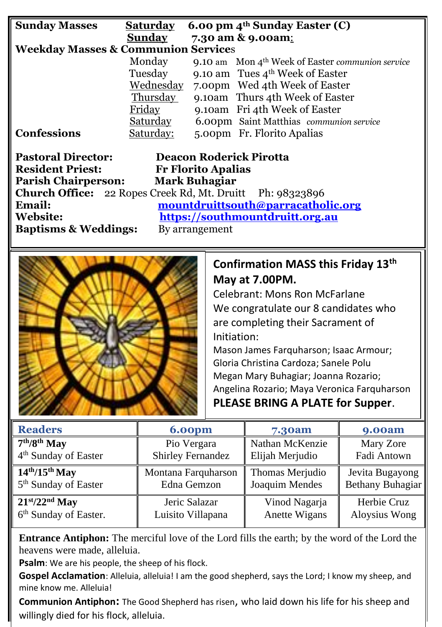| <b>Sunday Masses</b>                                             | <b>Saturday</b>                    | 6.00 pm 4 <sup>th</sup> Sunday Easter (C)          |  |  |  |
|------------------------------------------------------------------|------------------------------------|----------------------------------------------------|--|--|--|
|                                                                  | Sunday                             | 7.30 am & 9.00am:                                  |  |  |  |
| <b>Weekday Masses &amp; Communion Services</b>                   |                                    |                                                    |  |  |  |
|                                                                  | Monday                             | 9.10 am Mon $4th$ Week of Easter communion service |  |  |  |
|                                                                  | Tuesday                            | 9.10 am Tues $4th$ Week of Easter                  |  |  |  |
|                                                                  | Wednesday                          | 7.00pm Wed 4th Week of Easter                      |  |  |  |
|                                                                  | Thursday                           | 9.10am Thurs 4th Week of Easter                    |  |  |  |
|                                                                  | Friday                             | 9.10am Fri 4th Week of Easter                      |  |  |  |
|                                                                  | <u>Saturday</u>                    | 6.00pm Saint Matthias communion service            |  |  |  |
| <b>Confessions</b>                                               | Saturday:                          | 5.00pm Fr. Florito Apalias                         |  |  |  |
| <b>Pastoral Director:</b><br><b>Deacon Roderick Pirotta</b>      |                                    |                                                    |  |  |  |
|                                                                  |                                    |                                                    |  |  |  |
| <b>Resident Priest:</b><br><b>Fr Florito Apalias</b>             |                                    |                                                    |  |  |  |
| <b>Parish Chairperson:</b><br><b>Mark Buhagiar</b>               |                                    |                                                    |  |  |  |
| <b>Church Office:</b> 22 Ropes Creek Rd, Mt. Druitt Ph: 98323896 |                                    |                                                    |  |  |  |
| Email:                                                           | mountdruittsouth@parracatholic.org |                                                    |  |  |  |
| Website:                                                         | https://southmountdruitt.org.au    |                                                    |  |  |  |

**Baptisms & Weddings:** By arrangement



### **Confirmation MASS this Friday 13th May at 7.00PM.**

Celebrant: Mons Ron McFarlane We congratulate our 8 candidates who are completing their Sacrament of Initiation:

Mason James Farquharson; Isaac Armour; Gloria Christina Cardoza; Sanele Polu Megan Mary Buhagiar; Joanna Rozario; Angelina Rozario; Maya Veronica Farquharson **PLEASE BRING A PLATE for Supper**.

| <b>Readers</b>                    | <b>6.00pm</b>            | <b>7.30am</b>   | <b>9.00am</b>    |
|-----------------------------------|--------------------------|-----------------|------------------|
| $7th/8th$ May                     | Pio Vergara              | Nathan McKenzie | Mary Zore        |
| 4 <sup>th</sup> Sunday of Easter  | <b>Shirley Fernandez</b> | Elijah Merjudio | Fadi Antown      |
| $14th/15th$ May                   | Montana Farquharson      | Thomas Merjudio | Jevita Bugayong  |
| 5 <sup>th</sup> Sunday of Easter  | Edna Gemzon              | Joaquim Mendes  | Bethany Buhagiar |
| $21st/22nd$ May                   | Jeric Salazar            | Vinod Nagarja   | Herbie Cruz      |
| 6 <sup>th</sup> Sunday of Easter. | Luisito Villapana        | Anette Wigans   | Aloysius Wong    |

**Entrance Antiphon:** The merciful love of the Lord fills the earth; by the word of the Lord the heavens were made, alleluia.

**Psalm**: We are his people, the sheep of his flock.

**Gospel Acclamation**: Alleluia, alleluia! I am the good shepherd, says the Lord; I know my sheep, and mine know me. Alleluia!

**Communion Antiphon:** The Good Shepherd has risen, who laid down his life for his sheep and willingly died for his flock, alleluia.